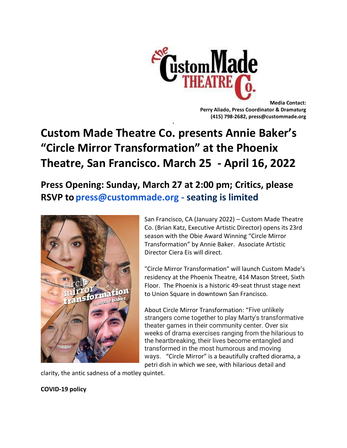

**Media Contact: Perry Aliado, Press Coordinator & Dramaturg (415) 798-2682, press@custommade.org**

# **Custom Made Theatre Co. presents Annie Baker's "Circle Mirror Transformation" at the Phoenix Theatre, San Francisco. March 25 - April 16, 2022**

**≠**

**Press Opening: Sunday, March 27 at 2:00 pm; Critics, please RSVP to press@custommade.org - seating is limited**



San Francisco, CA (January 2022) – Custom Made Theatre Co. (Brian Katz, Executive Artistic Director) opens its 23rd season with the Obie Award Winning "Circle Mirror Transformation" by Annie Baker. Associate Artistic Director Ciera Eis will direct.

"Circle Mirror Transformation" will launch Custom Made's residency at the Phoenix Theatre, 414 Mason Street, Sixth Floor. The Phoenix is a historic 49-seat thrust stage next to Union Square in downtown San Francisco.

About Circle Mirror Transformation: "Five unlikely strangers come together to play Marty's transformative theater games in their community center. Over six weeks of drama exercises ranging from the hilarious to the heartbreaking, their lives become entangled and transformed in the most humorous and moving ways. "Circle Mirror" is a beautifully crafted diorama, a petri dish in which we see, with hilarious detail and

clarity, the antic sadness of a motley quintet.

## **COVID-19 policy**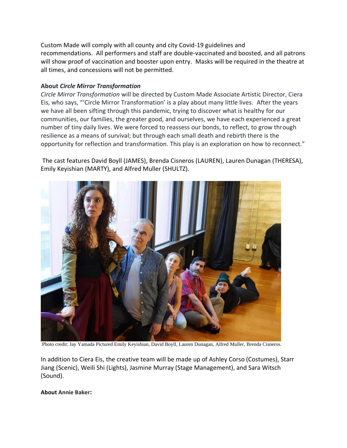Custom Made will comply with all county and city Covid-19 guidelines and recommendations. All performers and staff are double-vaccinated and boosted, and all patrons will show proof of vaccination and booster upon entry. Masks will be required in the theatre at all times, and concessions will not be permitted.

### **About** *Circle Mirror Transformation*

*Circle Mirror Transformation* will be directed by Custom Made Associate Artistic Director, Ciera Eis, who says, "'Circle Mirror Transformation' is a play about many little lives. After the years we have all been sifting through this pandemic, trying to discover what is healthy for our communities, our families, the greater good, and ourselves, we have each experienced a great number of tiny daily lives. We were forced to reassess our bonds, to reflect, to grow through resilience as a means of survival; but through each small death and rebirth there is the opportunity for reflection and transformation. This play is an exploration on how to reconnect."

The cast features David Boyll (JAMES), Brenda Cisneros (LAUREN), Lauren Dunagan (THERESA), Emily Keyishian (MARTY), and Alfred Muller (SHULTZ).



Photo credit: Jay Yamada Pictured Emily Keyishian, David Boyll, Lauren Dunagan, Alfred Muller, Brenda Cisneros.

In addition to Ciera Eis, the creative team will be made up of Ashley Corso (Costumes), Starr Jiang (Scenic), Weili Shi (Lights), Jasmine Murray (Stage Management), and Sara Witsch (Sound).

**About Annie Baker:**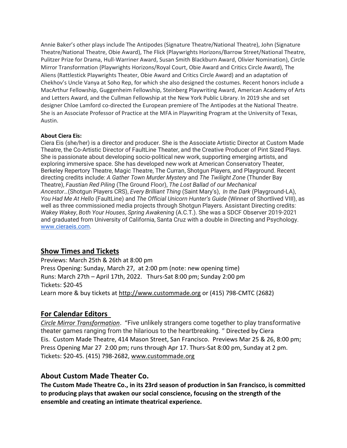Annie Baker's other plays include The Antipodes (Signature Theatre/National Theatre), John (Signature Theatre/National Theatre, Obie Award), The Flick (Playwrights Horizons/Barrow Street/National Theatre, Pulitzer Prize for Drama, Hull-Warriner Award, Susan Smith Blackburn Award, Olivier Nomination), Circle Mirror Transformation (Playwrights Horizons/Royal Court, Obie Award and Critics Circle Award), The Aliens (Rattlestick Playwrights Theater, Obie Award and Critics Circle Award) and an adaptation of Chekhov's Uncle Vanya at Soho Rep, for which she also designed the costumes. Recent honors include a MacArthur Fellowship, Guggenheim Fellowship, Steinberg Playwriting Award, American Academy of Arts and Letters Award, and the Cullman Fellowship at the New York Public Library. In 2019 she and set designer Chloe Lamford co-directed the European premiere of The Antipodes at the National Theatre. She is an Associate Professor of Practice at the MFA in Playwriting Program at the University of Texas, Austin.

#### **About Ciera Eis:**

Ciera Eis (she/her) is a director and producer. She is the Associate Artistic Director at Custom Made Theatre, the Co-Artistic Director of FaultLine Theater, and the Creative Producer of Pint Sized Plays. She is passionate about developing socio-political new work, supporting emerging artists, and exploring immersive space. She has developed new work at American Conservatory Theater, Berkeley Repertory Theatre, Magic Theatre, The Curran, Shotgun Players, and Playground. Recent directing credits include: *A Gather Town Murder Mystery* and *The Twilight Zone* (Thunder Bay Theatre), *Faustian Red Piling* (The Ground Floor), *The Lost Ballad of our Mechanical Ancestor…*(Shotgun Players CRS), *Every Brilliant Thing* (Saint Mary's), *In the Dark* (Playground-LA), *You Had Me At Hello* (FaultLine) and *The Official Unicorn Hunter's Guide* (Winner of Shortlived VIII), as well as three commissioned media projects through Shotgun Players. Assistant Directing credits: *Wakey Wakey*, *Both Your Houses*, *Spring Awakening* (A.C.T.). She was a SDCF Observer 2019-2021 and graduated from University of California, Santa Cruz with a double in Directing and Psychology[.](http://www.cieraeis.com/) [www.cieraeis.com.](http://www.cieraeis.com/)

# **Show Times and Tickets**

Previews: March 25th & 26th at 8:00 pm Press Opening: Sunday, March 27, at 2:00 pm (note: new opening time) Runs: March 27th – April 17th, 2022. Thurs-Sat 8:00 pm; Sunday 2:00 pm Tickets: \$20-45 Learn more & buy tickets at [http://www.custommade.org](http://www.custommade.org/) or (415) 798-CMTC (2682)

# **For Calendar Editors**

*Circle Mirror Transformation*. "Five unlikely strangers come together to play transformative theater games ranging from the hilarious to the heartbreaking. " Directed by Ciera Eis. Custom Made Theatre, 414 Mason Street, San Francisco. Previews Mar 25 & 26, 8:00 pm; Press Opening Mar 27 2:00 pm; runs through Apr 17. Thurs-Sat 8:00 pm, Sunday at 2 pm. Tickets: \$20-45. (415) 798-2682, [www.custommade.org](http://www.custommade.org/)

# **About Custom Made Theater Co.**

**The Custom Made Theatre Co., in its 23rd season of production in San Francisco, is committed to producing plays that awaken our social conscience, focusing on the strength of the ensemble and creating an intimate theatrical experience.**